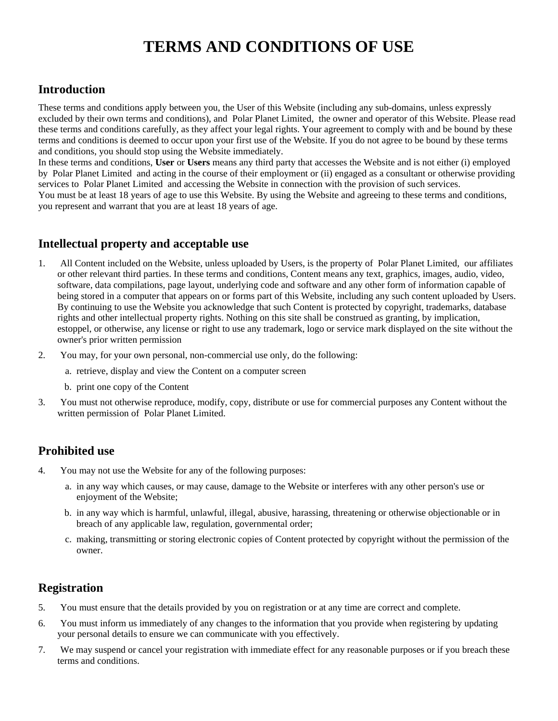# **TERMS AND CONDITIONS OF USE**

## **Introduction**

These terms and conditions apply between you, the User of this Website (including any sub-domains, unless expressly excluded by their own terms and conditions), and Polar Planet Limited, the owner and operator of this Website. Please read these terms and conditions carefully, as they affect your legal rights. Your agreement to comply with and be bound by these terms and conditions is deemed to occur upon your first use of the Website. If you do not agree to be bound by these terms and conditions, you should stop using the Website immediately.

In these terms and conditions, **User** or **Users** means any third party that accesses the Website and is not either (i) employed by Polar Planet Limited and acting in the course of their employment or (ii) engaged as a consultant or otherwise providing services to Polar Planet Limited and accessing the Website in connection with the provision of such services. You must be at least 18 years of age to use this Website. By using the Website and agreeing to these terms and conditions, you represent and warrant that you are at least 18 years of age.

## **Intellectual property and acceptable use**

- 1. All Content included on the Website, unless uploaded by Users, is the property of Polar Planet Limited, our affiliates or other relevant third parties. In these terms and conditions, Content means any text, graphics, images, audio, video, software, data compilations, page layout, underlying code and software and any other form of information capable of being stored in a computer that appears on or forms part of this Website, including any such content uploaded by Users. By continuing to use the Website you acknowledge that such Content is protected by copyright, trademarks, database rights and other intellectual property rights. Nothing on this site shall be construed as granting, by implication, estoppel, or otherwise, any license or right to use any trademark, logo or service mark displayed on the site without the owner's prior written permission
- 2. You may, for your own personal, non-commercial use only, do the following:
	- a. retrieve, display and view the Content on a computer screen
	- b. print one copy of the Content
- 3. You must not otherwise reproduce, modify, copy, distribute or use for commercial purposes any Content without the written permission of Polar Planet Limited.

## **Prohibited use**

- 4. You may not use the Website for any of the following purposes:
	- a. in any way which causes, or may cause, damage to the Website or interferes with any other person's use or enjoyment of the Website;
	- b. in any way which is harmful, unlawful, illegal, abusive, harassing, threatening or otherwise objectionable or in breach of any applicable law, regulation, governmental order;
	- c. making, transmitting or storing electronic copies of Content protected by copyright without the permission of the owner.

## **Registration**

- 5. You must ensure that the details provided by you on registration or at any time are correct and complete.
- 6. You must inform us immediately of any changes to the information that you provide when registering by updating your personal details to ensure we can communicate with you effectively.
- 7. We may suspend or cancel your registration with immediate effect for any reasonable purposes or if you breach these terms and conditions.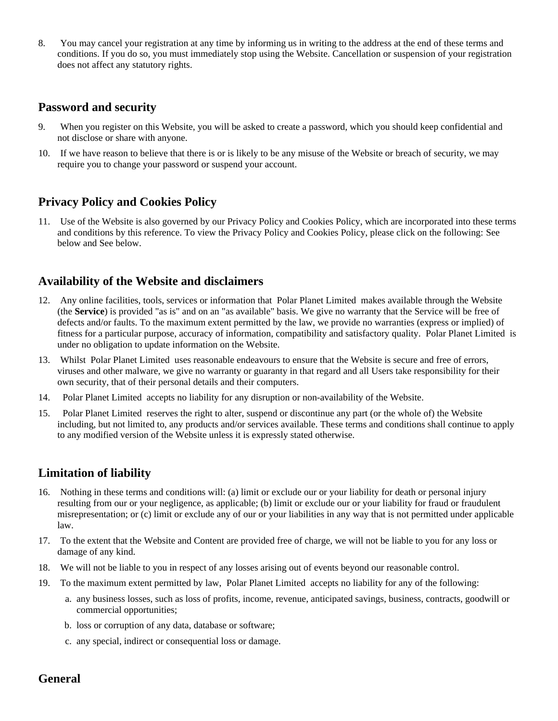8. You may cancel your registration at any time by informing us in writing to the address at the end of these terms and conditions. If you do so, you must immediately stop using the Website. Cancellation or suspension of your registration does not affect any statutory rights.

## **Password and security**

- 9. When you register on this Website, you will be asked to create a password, which you should keep confidential and not disclose or share with anyone.
- 10. If we have reason to believe that there is or is likely to be any misuse of the Website or breach of security, we may require you to change your password or suspend your account.

## **Privacy Policy and Cookies Policy**

11. Use of the Website is also governed by our Privacy Policy and Cookies Policy, which are incorporated into these terms and conditions by this reference. To view the Privacy Policy and Cookies Policy, please click on the following: See below and See below.

## **Availability of the Website and disclaimers**

- 12. Any online facilities, tools, services or information that Polar Planet Limited makes available through the Website (the **Service**) is provided "as is" and on an "as available" basis. We give no warranty that the Service will be free of defects and/or faults. To the maximum extent permitted by the law, we provide no warranties (express or implied) of fitness for a particular purpose, accuracy of information, compatibility and satisfactory quality. Polar Planet Limited is under no obligation to update information on the Website.
- 13. Whilst Polar Planet Limited uses reasonable endeavours to ensure that the Website is secure and free of errors, viruses and other malware, we give no warranty or guaranty in that regard and all Users take responsibility for their own security, that of their personal details and their computers.
- 14. Polar Planet Limited accepts no liability for any disruption or non-availability of the Website.
- 15. Polar Planet Limited reserves the right to alter, suspend or discontinue any part (or the whole of) the Website including, but not limited to, any products and/or services available. These terms and conditions shall continue to apply to any modified version of the Website unless it is expressly stated otherwise.

## **Limitation of liability**

- 16. Nothing in these terms and conditions will: (a) limit or exclude our or your liability for death or personal injury resulting from our or your negligence, as applicable; (b) limit or exclude our or your liability for fraud or fraudulent misrepresentation; or (c) limit or exclude any of our or your liabilities in any way that is not permitted under applicable law.
- 17. To the extent that the Website and Content are provided free of charge, we will not be liable to you for any loss or damage of any kind.
- 18. We will not be liable to you in respect of any losses arising out of events beyond our reasonable control.
- 19. To the maximum extent permitted by law, Polar Planet Limited accepts no liability for any of the following:
	- a. any business losses, such as loss of profits, income, revenue, anticipated savings, business, contracts, goodwill or commercial opportunities;
	- b. loss or corruption of any data, database or software;
	- c. any special, indirect or consequential loss or damage.

## **General**